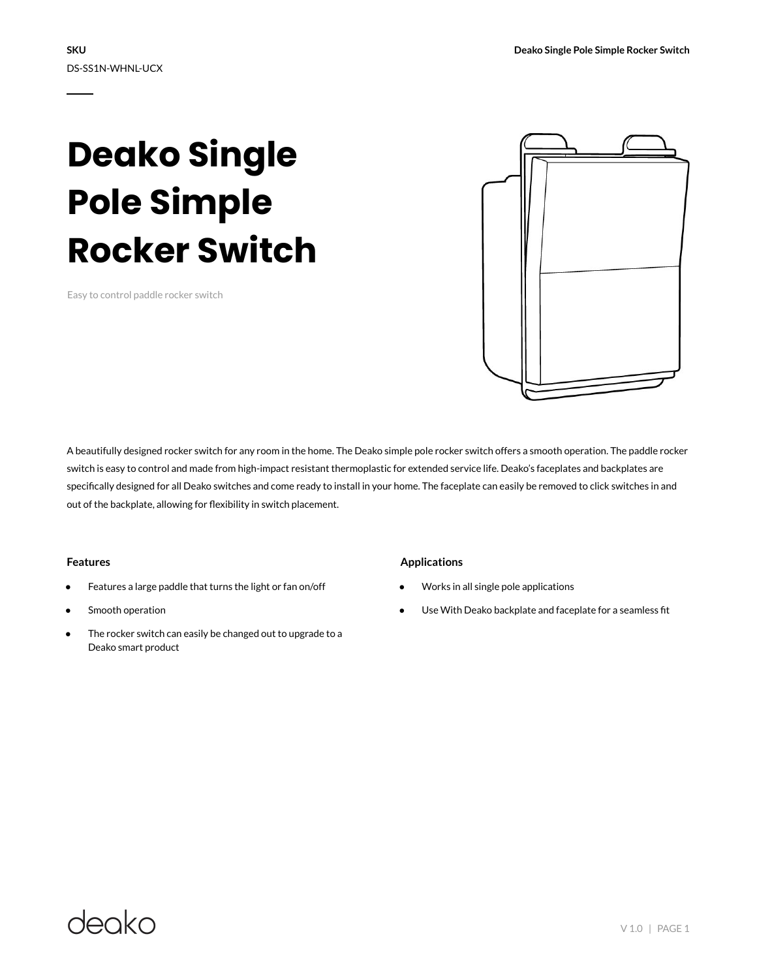# **Deako Single Pole Simple Rocker Switch**

Easy to control paddle rocker switch



A beautifully designed rocker switch for any room in the home. The Deako simple pole rocker switch offers a smooth operation. The paddle rocker switch is easy to control and made from high-impact resistant thermoplastic for extended service life. Deako's faceplates and backplates are specifically designed for all Deako switches and come ready to install in your home. The faceplate can easily be removed to click switches in and out of the backplate, allowing for flexibility in switch placement.

#### **Features**

- Features a large paddle that turns the light or fan on/off
- Smooth operation
- The rocker switch can easily be changed out to upgrade to a Deako smart product

#### **Applications**

- Works in all single pole applications
- Use With Deako backplate and faceplate for a seamless fit